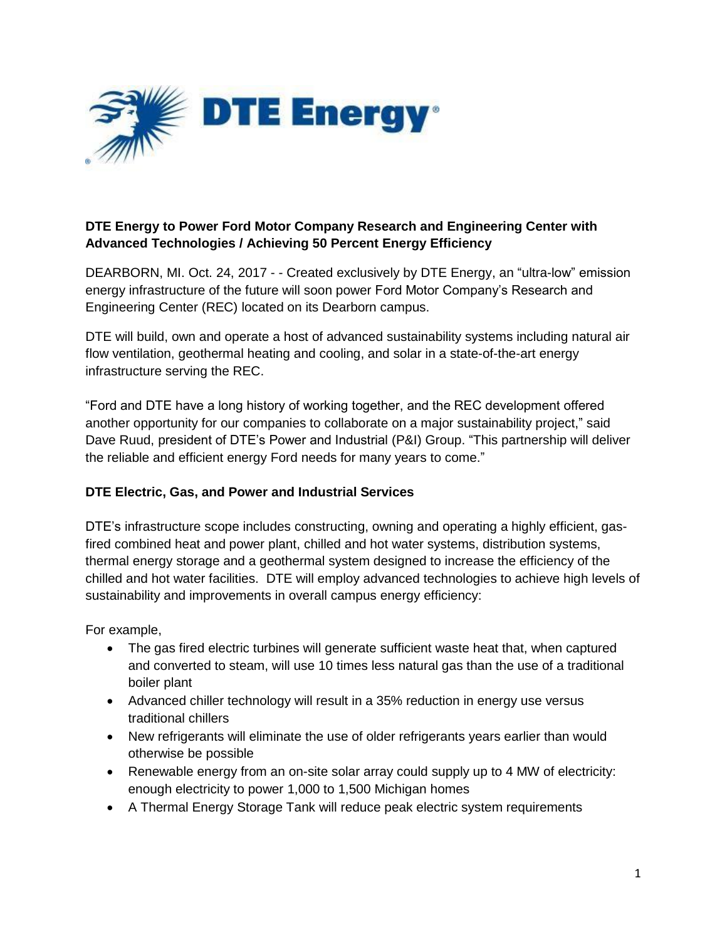

# **DTE Energy to Power Ford Motor Company Research and Engineering Center with Advanced Technologies / Achieving 50 Percent Energy Efficiency**

DEARBORN, MI. Oct. 24, 2017 - - Created exclusively by DTE Energy, an "ultra-low" emission energy infrastructure of the future will soon power Ford Motor Company's Research and Engineering Center (REC) located on its Dearborn campus.

DTE will build, own and operate a host of advanced sustainability systems including natural air flow ventilation, geothermal heating and cooling, and solar in a state-of-the-art energy infrastructure serving the REC.

"Ford and DTE have a long history of working together, and the REC development offered another opportunity for our companies to collaborate on a major sustainability project," said Dave Ruud, president of DTE's Power and Industrial (P&I) Group. "This partnership will deliver the reliable and efficient energy Ford needs for many years to come."

## **DTE Electric, Gas, and Power and Industrial Services**

DTE's infrastructure scope includes constructing, owning and operating a highly efficient, gasfired combined heat and power plant, chilled and hot water systems, distribution systems, thermal energy storage and a geothermal system designed to increase the efficiency of the chilled and hot water facilities. DTE will employ advanced technologies to achieve high levels of sustainability and improvements in overall campus energy efficiency:

For example,

- The gas fired electric turbines will generate sufficient waste heat that, when captured and converted to steam, will use 10 times less natural gas than the use of a traditional boiler plant
- Advanced chiller technology will result in a 35% reduction in energy use versus traditional chillers
- New refrigerants will eliminate the use of older refrigerants years earlier than would otherwise be possible
- Renewable energy from an on-site solar array could supply up to 4 MW of electricity: enough electricity to power 1,000 to 1,500 Michigan homes
- A Thermal Energy Storage Tank will reduce peak electric system requirements